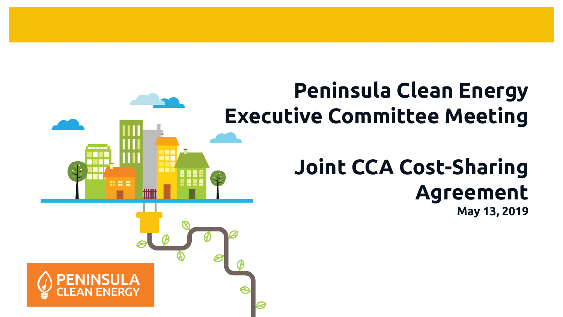## **Peninsula Clean Energy Executive Committee Meeting**

見出

# **Joint CCA Cost-Sharing Agreement**

**May 13, 2019**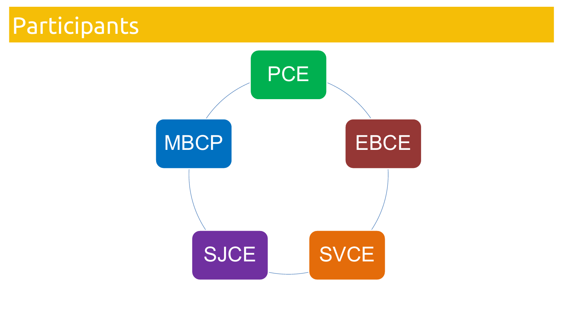# Participants

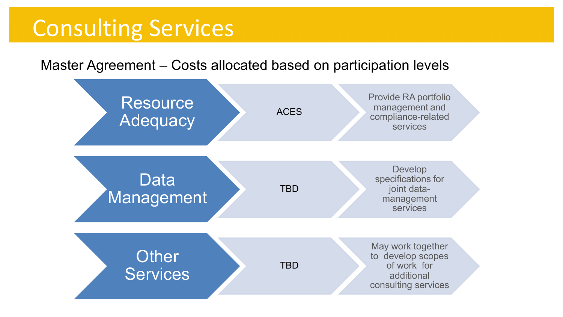## Consulting Services

Master Agreement – Costs allocated based on participation levels

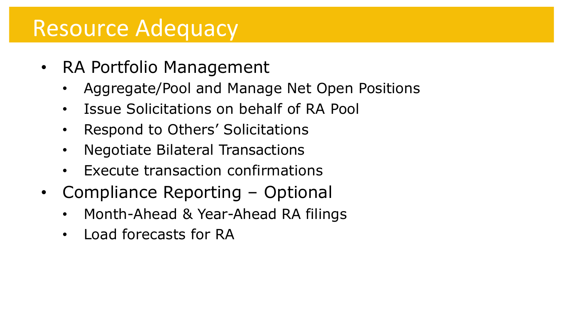### Resource Adequacy

- RA Portfolio Management
	- Aggregate/Pool and Manage Net Open Positions
	- Issue Solicitations on behalf of RA Pool
	- Respond to Others' Solicitations
	- Negotiate Bilateral Transactions
	- Execute transaction confirmations
- Compliance Reporting Optional
	- Month-Ahead & Year-Ahead RA filings
	- Load forecasts for RA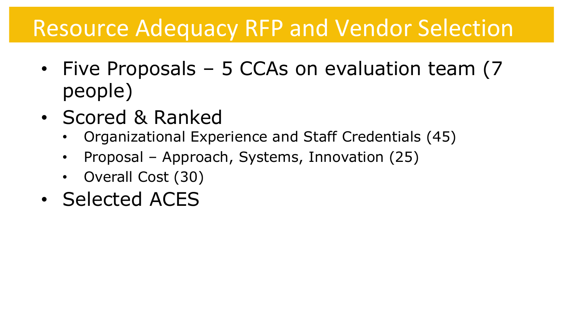## Resource Adequacy RFP and Vendor Selection

- Five Proposals 5 CCAs on evaluation team (7 people)
- Scored & Ranked
	- Organizational Experience and Staff Credentials (45)
	- Proposal Approach, Systems, Innovation (25)
	- Overall Cost (30)
- Selected ACES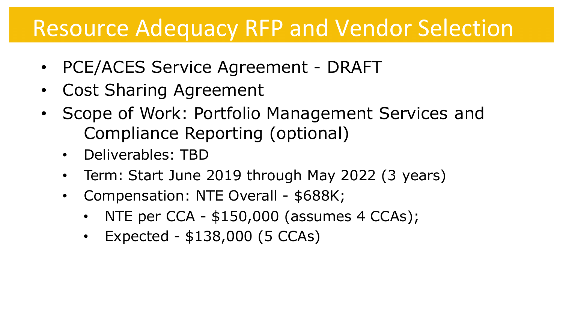### Resource Adequacy RFP and Vendor Selection

- PCE/ACES Service Agreement DRAFT
- Cost Sharing Agreement
- Scope of Work: Portfolio Management Services and Compliance Reporting (optional)
	- Deliverables: TBD
	- Term: Start June 2019 through May 2022 (3 years)
	- Compensation: NTE Overall \$688K;
		- NTE per CCA \$150,000 (assumes 4 CCAs);
		- Expected \$138,000 (5 CCAs)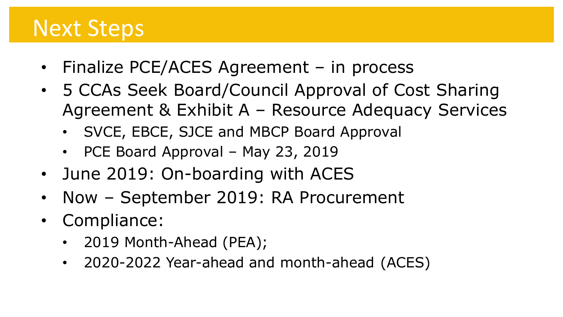### Next Steps

- Finalize PCE/ACES Agreement in process
- 5 CCAs Seek Board/Council Approval of Cost Sharing Agreement & Exhibit A – Resource Adequacy Services
	- SVCE, EBCE, SJCE and MBCP Board Approval
	- PCE Board Approval May 23, 2019
- June 2019: On-boarding with ACES
- Now September 2019: RA Procurement
- Compliance:
	- 2019 Month-Ahead (PEA);
	- 2020-2022 Year-ahead and month-ahead (ACES)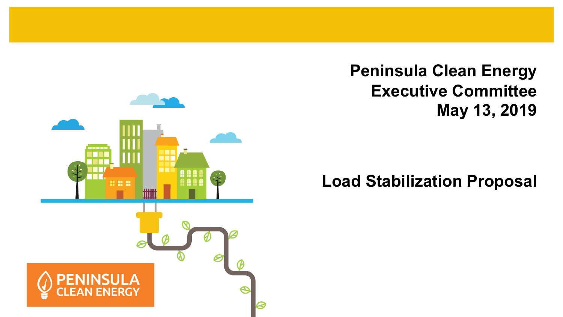

#### **Peninsula Clean Energy Executive Committee May 13, 2019**

#### **Load Stabilization Proposal**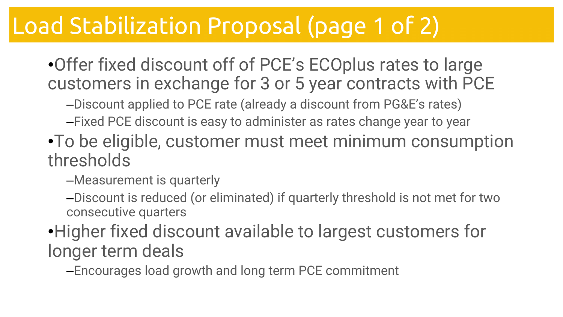# Load Stabilization Proposal (page 1 of 2)

•Offer fixed discount off of PCE's ECOplus rates to large customers in exchange for 3 or 5 year contracts with PCE

–Discount applied to PCE rate (already a discount from PG&E's rates)

- –Fixed PCE discount is easy to administer as rates change year to year
- •To be eligible, customer must meet minimum consumption thresholds

–Measurement is quarterly

–Discount is reduced (or eliminated) if quarterly threshold is not met for two consecutive quarters

•Higher fixed discount available to largest customers for longer term deals

–Encourages load growth and long term PCE commitment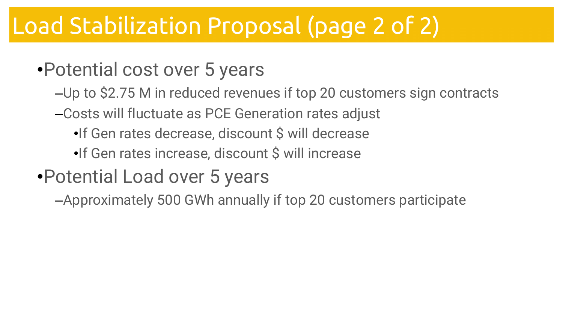# Load Stabilization Proposal (page 2 of 2)

### •Potential cost over 5 years

- –Up to \$2.75 M in reduced revenues if top 20 customers sign contracts
- –Costs will fluctuate as PCE Generation rates adjust
	- •If Gen rates decrease, discount \$ will decrease
	- •If Gen rates increase, discount \$ will increase

### •Potential Load over 5 years

–Approximately 500 GWh annually if top 20 customers participate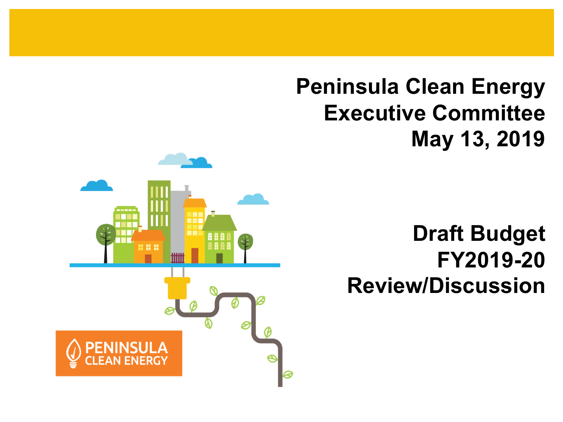**Peninsula Clean Energy Executive Committee May 13, 2019**

#### **Draft Budget FY2019-20 Review/Discussion**

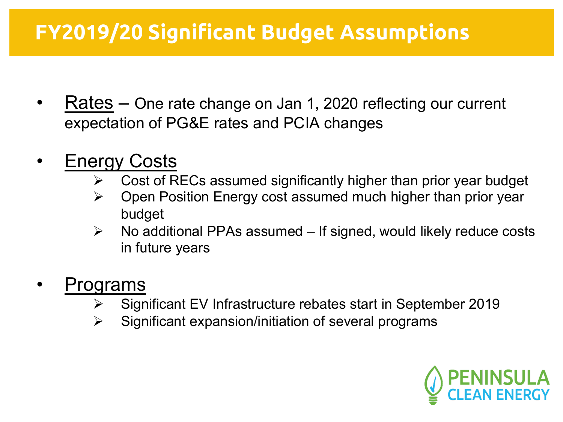#### **FY2019/20 Significant Budget Assumptions**

- Rates One rate change on Jan 1, 2020 reflecting our current expectation of PG&E rates and PCIA changes
- **Energy Costs** 
	- $\triangleright$  Cost of RECs assumed significantly higher than prior year budget
	- $\triangleright$  Open Position Energy cost assumed much higher than prior year budget
	- $\triangleright$  No additional PPAs assumed If signed, would likely reduce costs in future years
- Programs
	- Ø Significant EV Infrastructure rebates start in September 2019
	- $\triangleright$  Significant expansion/initiation of several programs

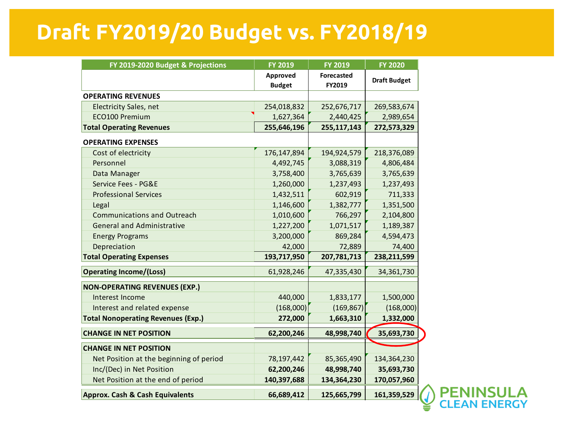#### **Draft FY2019/20 Budget vs. FY2018/19**

| FY 2019-2020 Budget & Projections         | FY 2019                   | <b>FY 2019</b>              | <b>FY 2020</b>      |
|-------------------------------------------|---------------------------|-----------------------------|---------------------|
|                                           | Approved<br><b>Budget</b> | <b>Forecasted</b><br>FY2019 | <b>Draft Budget</b> |
| <b>OPERATING REVENUES</b>                 |                           |                             |                     |
| <b>Electricity Sales, net</b>             | 254,018,832               | 252,676,717                 | 269,583,674         |
| ECO100 Premium                            | 1,627,364                 | 2,440,425                   | 2,989,654           |
| <b>Total Operating Revenues</b>           | 255,646,196               | 255,117,143                 | 272,573,329         |
| <b>OPERATING EXPENSES</b>                 |                           |                             |                     |
| Cost of electricity                       | 176,147,894               | 194,924,579                 | 218,376,089         |
| Personnel                                 | 4,492,745                 | 3,088,319                   | 4,806,484           |
| Data Manager                              | 3,758,400                 | 3,765,639                   | 3,765,639           |
| Service Fees - PG&E                       | 1,260,000                 | 1,237,493                   | 1,237,493           |
| <b>Professional Services</b>              | 1,432,511                 | 602,919                     | 711,333             |
| Legal                                     | 1,146,600                 | 1,382,777                   | 1,351,500           |
| <b>Communications and Outreach</b>        | 1,010,600                 | 766,297                     | 2,104,800           |
| <b>General and Administrative</b>         | 1,227,200                 | 1,071,517                   | 1,189,387           |
| <b>Energy Programs</b>                    | 3,200,000                 | 869,284                     | 4,594,473           |
| Depreciation                              | 42,000                    | 72,889                      | 74,400              |
| <b>Total Operating Expenses</b>           | 193,717,950               | 207,781,713                 | 238,211,599         |
| <b>Operating Income/(Loss)</b>            | 61,928,246                | 47,335,430                  | 34,361,730          |
| <b>NON-OPERATING REVENUES (EXP.)</b>      |                           |                             |                     |
| Interest Income                           | 440,000                   | 1,833,177                   | 1,500,000           |
| Interest and related expense              | (168,000)                 | (169, 867)                  | (168,000)           |
| <b>Total Nonoperating Revenues (Exp.)</b> | 272,000                   | 1,663,310                   | 1,332,000           |
| <b>CHANGE IN NET POSITION</b>             | 62,200,246                | 48,998,740                  | 35,693,730          |
| <b>CHANGE IN NET POSITION</b>             |                           |                             |                     |
| Net Position at the beginning of period   | 78,197,442                | 85,365,490                  | 134,364,230         |
| Inc/(Dec) in Net Position                 | 62,200,246                | 48,998,740                  | 35,693,730          |
| Net Position at the end of period         | 140,397,688               | 134,364,230                 | 170,057,960         |
| Approx. Cash & Cash Equivalents           | 66,689,412                | 125,665,799                 | 161,359,529         |